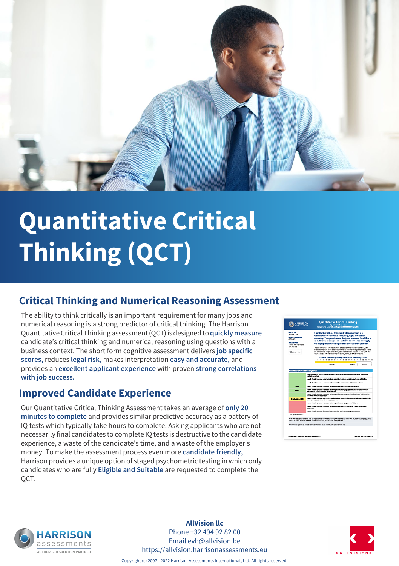

# **Quantitative Critical Thinking (QCT)**

### **Critical Thinking and Numerical Reasoning Assessment**

The ability to think critically is an important requirement for many jobs and numerical reasoning is a strong predictor of critical thinking. The Harrison Quantitative Critical Thinking assessment (QCT) is designed to **quickly measure** candidate's critical thinking and numerical reasoning using questions with a business context. The short form cognitive assessment delivers **job specific scores,** reduces **legal risk,** makes interpretation **easy and accurate,** and provides an **excellent applicant experience** with proven **strong correlations with job success.**

#### **Improved Candidate Experience**

Our Quantitative Critical Thinking Assessment takes an average of **only 20 minutes to complete** and provides similar predictive accuracy as a battery of IQ tests which typically take hours to complete. Asking applicants who are not necessarily final candidates to complete IQ tests is destructive to the candidate experience, a waste of the candidate's time, and a waste of the employer's money. To make the assessment process even more **candidate friendly,** Harrison provides a unique option of staged psychometric testing in which only candidates who are fully **Eligible and Suitable** are requested to complete the QCT.





**AllVision llc** Phone +32 494 92 82 00 Email evh@allvision.be https://allvision.harrisonassessments.eu